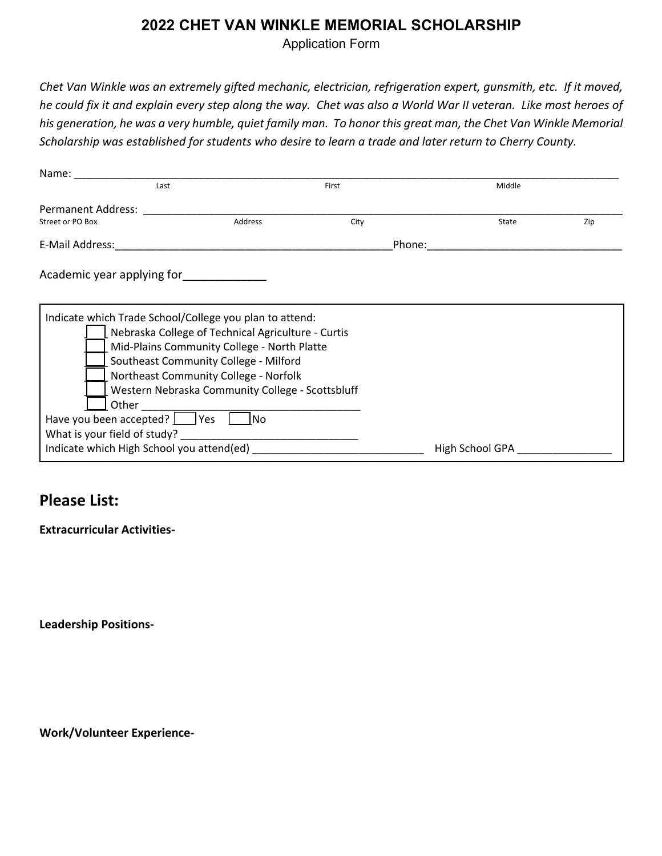## **2022 CHET VAN WINKLE MEMORIAL SCHOLARSHIP**

Application Form

*Chet Van Winkle was an extremely gifted mechanic, electrician, refrigeration expert, gunsmith, etc. If it moved, he could fix it and explain every step along the way. Chet was also a World War II veteran. Like most heroes of his generation, he was a very humble, quiet family man. To honor this great man, the Chet Van Winkle Memorial Scholarship was established for students who desire to learn a trade and later return to Cherry County.*

| Last                                                                                                                                                                         |                                                                                                                                                                                                                                                | First |  | Middle          |     |
|------------------------------------------------------------------------------------------------------------------------------------------------------------------------------|------------------------------------------------------------------------------------------------------------------------------------------------------------------------------------------------------------------------------------------------|-------|--|-----------------|-----|
| Permanent Address:                                                                                                                                                           |                                                                                                                                                                                                                                                |       |  |                 |     |
| Street or PO Box                                                                                                                                                             | Address                                                                                                                                                                                                                                        | City  |  | State           | Zip |
| E-Mail Address:                                                                                                                                                              | Phone:                                                                                                                                                                                                                                         |       |  |                 |     |
| Academic year applying for                                                                                                                                                   |                                                                                                                                                                                                                                                |       |  |                 |     |
| Indicate which Trade School/College you plan to attend:<br>Other<br>Have you been accepted? Ves<br>What is your field of study?<br>Indicate which High School you attend(ed) | Nebraska College of Technical Agriculture - Curtis<br>Mid-Plains Community College - North Platte<br>Southeast Community College - Milford<br>Northeast Community College - Norfolk<br>Western Nebraska Community College - Scottsbluff<br>1no |       |  | High School GPA |     |

## **Please List:**

**Extracurricular Activities-**

**Leadership Positions-**

**Work/Volunteer Experience-**